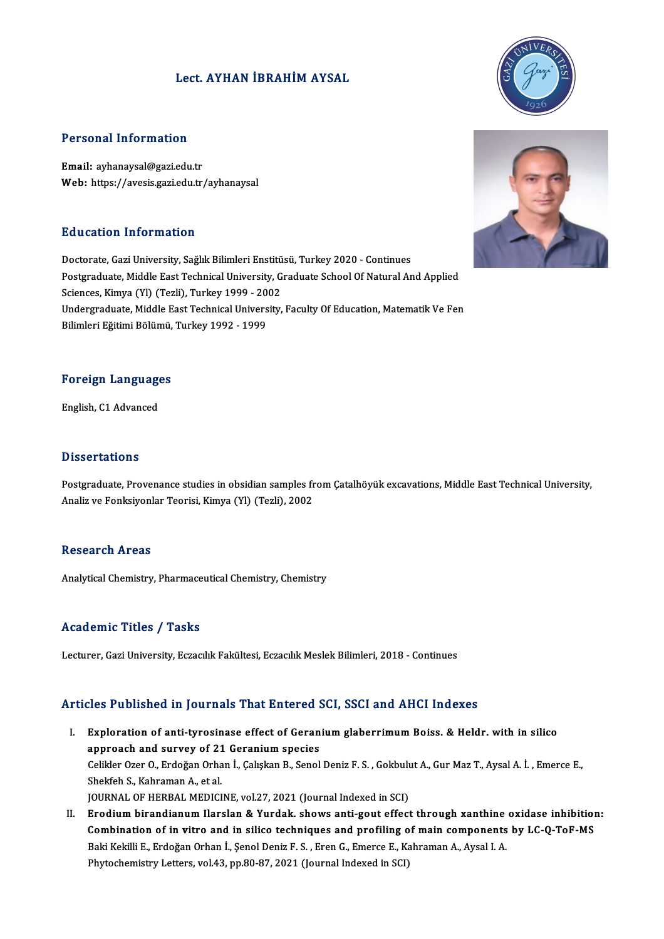# Lect. AYHAN İBRAHİMAYSAL



### Personal Information

Email: ayhanaysal@gazi.edu.tr Web: https://avesis.gazi.edu.tr/ayhanaysal

## Education Information

Doctorate, Gazi University, Sağlık Bilimleri Enstitüsü, Turkey 2020 - Continues Postgraduate, Middle East Technical University, Graduate School Of Natural And Applied Doctorate, Gazi University, Sağlık Bilimleri Enstitü<br>Postgraduate, Middle East Technical University, G<br>Sciences, Kimya (Yl) (Tezli), Turkey 1999 - 2002<br>Undergraduate Middle East Technical University Undergraduate, Middle East Technical University, Faculty Of Education, Matematik Ve Fen<br>Bilimleri Eğitimi Bölümü, Turkey 1992 - 1999 Sciences, Kimya (Yl) (Tezli), Turkey 1999 - 20<br>Undergraduate, Middle East Technical Univers<br>Bilimleri Eğitimi Bölümü, Turkey 1992 - 1999

# Foreign Languages <mark>Foreign Language</mark><br>English, C1 Advanced

English, C1 Advanced<br>Dissertations

Dissertations<br>Postgraduate, Provenance studies in obsidian samples from Çatalhöyük excavations, Middle East Technical University,<br>Analiz ve Fenksivenlar Teorisi, Kimya (V), (Terli), 2002 2 15561 tatrons<br>Postgraduate, Provenance studies in obsidian samples fr<br>Analiz ve Fonksiyonlar Teorisi, Kimya (Yl) (Tezli), 2002 Analiz ve Fonksiyonlar Teorisi, Kimya (Yl) (Tezli), 2002<br>Research Areas

Analytical Chemistry, Pharmaceutical Chemistry, Chemistry

#### Academic Titles / Tasks

Lecturer, Gazi University, Eczacılık Fakültesi, Eczacılık Meslek Bilimleri, 2018 - Continues

## Articles Published in Journals That Entered SCI, SSCI and AHCI Indexes

- I. Exploration of anti-tyrosinase effect of Geranium glaberrimum Boiss. & Heldr. with in silico approach and survey of 21 Geranium species<br>approach and survey of 21 Geranium species<br>Colikler Orer O. Erdoğan Orban İ. Colukan B. Sanol Exploration of anti-tyrosinase effect of Geranium glaberrimum Boiss. & Heldr. with in silico<br>approach and survey of 21 Geranium species<br>Celikler Ozer O., Erdoğan Orhan İ., Çalışkan B., Senol Deniz F. S. , Gokbulut A., Gur approach and survey of 21<br>Celikler Ozer O., Erdoğan Orha<br>Shekfeh S., Kahraman A., et al.<br>JOUPNAL OE UEPRAL MEDICI Celikler Ozer O., Erdoğan Orhan İ., Çalışkan B., Senol Deniz F. S. , Gokbult<br>Shekfeh S., Kahraman A., et al.<br>JOURNAL OF HERBAL MEDICINE, vol.27, 2021 (Journal Indexed in SCI)<br>Fredium birandianum Harslan & Yurdak, shows ant Shekfeh S., Kahraman A., et al.<br>I . GOURNAL OF HERBAL MEDICINE, vol.27, 2021 (Journal Indexed in SCI)<br>II. Erodium birandianum Ilarslan & Yurdak. shows anti-gout effect through xanthine oxidase inhibition:<br>Combination of in
- JOURNAL OF HERBAL MEDICINE, vol.27, 2021 (Journal Indexed in SCI)<br>Erodium birandianum Ilarslan & Yurdak. shows anti-gout effect through xanthine oxidase inhibition<br>Combination of in vitro and in silico techniques and profi Erodium birandianum Ilarslan & Yurdak. shows anti-gout effect through xanthine<br>Combination of in vitro and in silico techniques and profiling of main components<br>Baki Kekilli E., Erdoğan Orhan İ., Şenol Deniz F. S. , Eren G Combination of in vitro and in silico techniques and profiling of main components by LC-Q-ToF-MS<br>Baki Kekilli E., Erdoğan Orhan İ., Şenol Deniz F. S. , Eren G., Emerce E., Kahraman A., Aysal I. A.<br>Phytochemistry Letters, v